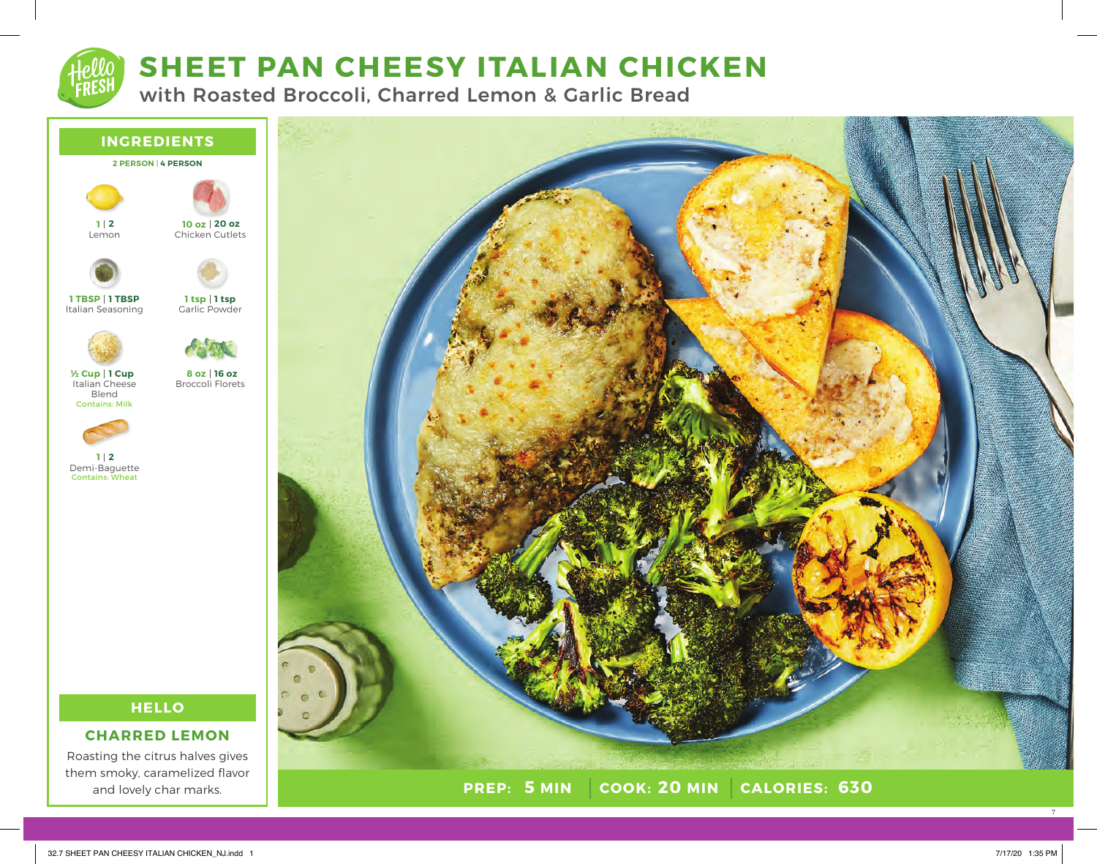# **SHEET PAN CHEESY ITALIAN CHICKEN**

with Roasted Broccoli, Charred Lemon & Garlic Bread